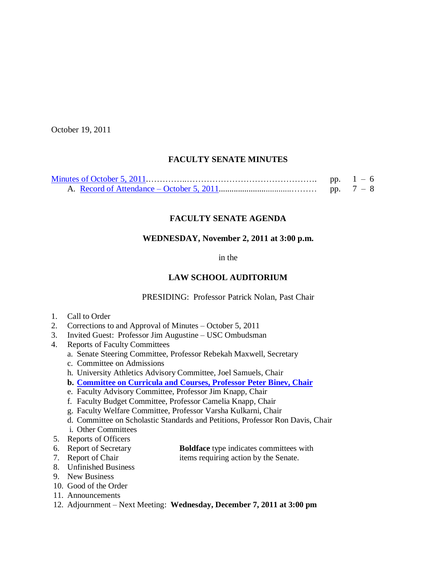October 19, 2011

# **FACULTY SENATE MINUTES**

|  | pp. $1 - 6$ |
|--|-------------|
|  |             |

# **FACULTY SENATE AGENDA**

# **WEDNESDAY, November 2, 2011 at 3:00 p.m.**

in the

# **LAW SCHOOL AUDITORIUM**

PRESIDING: Professor Patrick Nolan, Past Chair

- 1. Call to Order
- 2. Corrections to and Approval of Minutes October 5, 2011
- 3. Invited Guest: Professor Jim Augustine USC Ombudsman
- 4. Reports of Faculty Committees
	- a. Senate Steering Committee, Professor Rebekah Maxwell, Secretary
	- c. Committee on Admissions
	- h. University Athletics Advisory Committee, Joel Samuels, Chair
	- **b. [Committee on Curricula and Courses, Professor](http://www.sc.edu/faculty/senate/11/agenda/1102.cc.pdf) Peter Binev, Chair**
	- e. Faculty Advisory Committee, Professor Jim Knapp, Chair
	- f. Faculty Budget Committee, Professor Camelia Knapp, Chair
	- g. Faculty Welfare Committee, Professor Varsha Kulkarni, Chair
	- d. Committee on Scholastic Standards and Petitions, Professor Ron Davis, Chair
	- i. Other Committees
- 5. Reports of Officers
- 6. Report of Secretary **Boldface** type indicates committees with
- 
- 7. Report of Chair items requiring action by the Senate.
- 8. Unfinished Business
- 9. New Business
- 10. Good of the Order
- 11. Announcements
- 12. Adjournment Next Meeting: **Wednesday, December 7, 2011 at 3:00 pm**